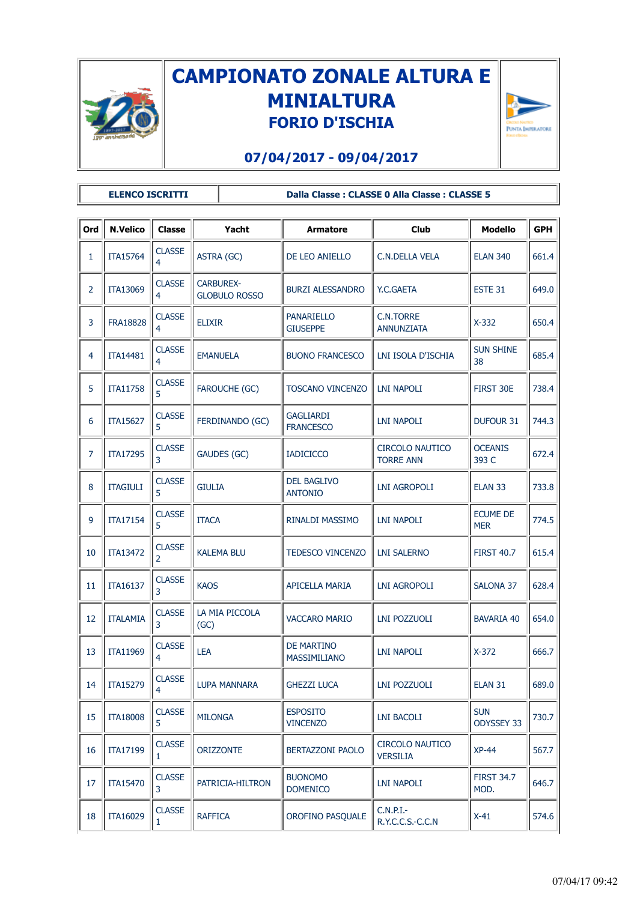

## **CAMPIONATO ZONALE ALTURA E MINIALTURA FORIO D'ISCHIA**



## **07/04/2017 - 09/04/2017**

**ELENCO ISCRITTI Dalla Classe : CLASSE 0 Alla Classe : CLASSE 5**

| Ord            | <b>N.Velico</b> | Classe             | Yacht                                    | Armatore                                 | <b>Club</b>                                | <b>Modello</b>                | <b>GPH</b> |  |  |  |  |
|----------------|-----------------|--------------------|------------------------------------------|------------------------------------------|--------------------------------------------|-------------------------------|------------|--|--|--|--|
| 1              | <b>ITA15764</b> | <b>CLASSE</b><br>4 | ASTRA (GC)                               | DE LEO ANIELLO                           | <b>C.N.DELLA VELA</b>                      | <b>ELAN 340</b>               | 661.4      |  |  |  |  |
| 2              | ITA13069        | <b>CLASSE</b><br>4 | <b>CARBUREX-</b><br><b>GLOBULO ROSSO</b> | <b>BURZI ALESSANDRO</b>                  | Y.C.GAETA                                  | ESTE 31                       | 649.0      |  |  |  |  |
| 3              | <b>FRA18828</b> | <b>CLASSE</b><br>4 | <b>ELIXIR</b>                            | <b>PANARIELLO</b><br><b>GIUSEPPE</b>     | <b>C.N.TORRE</b><br>ANNUNZIATA             | $X-332$                       | 650.4      |  |  |  |  |
| 4              | <b>ITA14481</b> | <b>CLASSE</b><br>4 | <b>EMANUELA</b>                          | <b>BUONO FRANCESCO</b>                   | LNI ISOLA D'ISCHIA                         | <b>SUN SHINE</b><br>38        | 685.4      |  |  |  |  |
| 5              | ITA11758        | <b>CLASSE</b><br>5 | FAROUCHE (GC)                            | <b>TOSCANO VINCENZO</b>                  | <b>LNI NAPOLI</b>                          | FIRST 30E                     | 738.4      |  |  |  |  |
| 6              | <b>ITA15627</b> | <b>CLASSE</b><br>5 | FERDINANDO (GC)                          | <b>GAGLIARDI</b><br><b>FRANCESCO</b>     | <b>LNI NAPOLI</b>                          | DUFOUR 31                     | 744.3      |  |  |  |  |
| $\overline{7}$ | ITA17295        | <b>CLASSE</b><br>3 | GAUDES (GC)                              | <b>IADICICCO</b>                         | <b>CIRCOLO NAUTICO</b><br><b>TORRE ANN</b> | <b>OCEANIS</b><br>393 C       | 672.4      |  |  |  |  |
| 8              | <b>ITAGIULI</b> | <b>CLASSE</b><br>5 | <b>GIULIA</b>                            | <b>DEL BAGLIVO</b><br><b>ANTONIO</b>     | <b>LNI AGROPOLI</b>                        | ELAN 33                       | 733.8      |  |  |  |  |
| 9              | <b>ITA17154</b> | <b>CLASSE</b><br>5 | <b>ITACA</b>                             | RINALDI MASSIMO                          | <b>LNI NAPOLI</b>                          | <b>ECUME DE</b><br><b>MER</b> | 774.5      |  |  |  |  |
| 10             | ITA13472        | <b>CLASSE</b><br>2 | <b>KALEMA BLU</b>                        | <b>TEDESCO VINCENZO</b>                  | <b>LNI SALERNO</b>                         | <b>FIRST 40.7</b>             | 615.4      |  |  |  |  |
| 11             | ITA16137        | <b>CLASSE</b><br>3 | <b>KAOS</b>                              | <b>APICELLA MARIA</b>                    | <b>LNI AGROPOLI</b>                        | SALONA 37                     | 628.4      |  |  |  |  |
| 12             | <b>ITALAMIA</b> | <b>CLASSE</b><br>3 | LA MIA PICCOLA<br>(GC)                   | <b>VACCARO MARIO</b>                     | <b>LNI POZZUOLI</b>                        | <b>BAVARIA 40</b>             | 654.0      |  |  |  |  |
| 13             | ITA11969        | <b>CLASSE</b><br>4 | LEA                                      | <b>DE MARTINO</b><br><b>MASSIMILIANO</b> | <b>LNI NAPOLI</b>                          | $X-372$                       | 666.7      |  |  |  |  |
| 14             | ITA15279        | <b>CLASSE</b><br>4 | LUPA MANNARA                             | <b>GHEZZI LUCA</b>                       | LNI POZZUOLI                               | <b>ELAN 31</b>                | 689.0      |  |  |  |  |
| 15             | <b>ITA18008</b> | <b>CLASSE</b><br>5 | <b>MILONGA</b>                           | <b>ESPOSITO</b><br><b>VINCENZO</b>       | <b>LNI BACOLI</b>                          | <b>SUN</b><br>ODYSSEY 33      | 730.7      |  |  |  |  |
| 16             | ITA17199        | <b>CLASSE</b><br>1 | <b>ORIZZONTE</b>                         | <b>BERTAZZONI PAOLO</b>                  | CIRCOLO NAUTICO<br><b>VERSILIA</b>         | $XP-44$                       | 567.7      |  |  |  |  |
| 17             | ITA15470        | <b>CLASSE</b><br>3 | PATRICIA-HILTRON                         | <b>BUONOMO</b><br><b>DOMENICO</b>        | <b>LNI NAPOLI</b>                          | <b>FIRST 34.7</b><br>MOD.     | 646.7      |  |  |  |  |
| 18             | ITA16029        | <b>CLASSE</b><br>1 | <b>RAFFICA</b>                           | OROFINO PASQUALE                         | $C.N.P.I.$ -<br>R.Y.C.C.S.-C.C.N           | $X-41$                        | 574.6      |  |  |  |  |